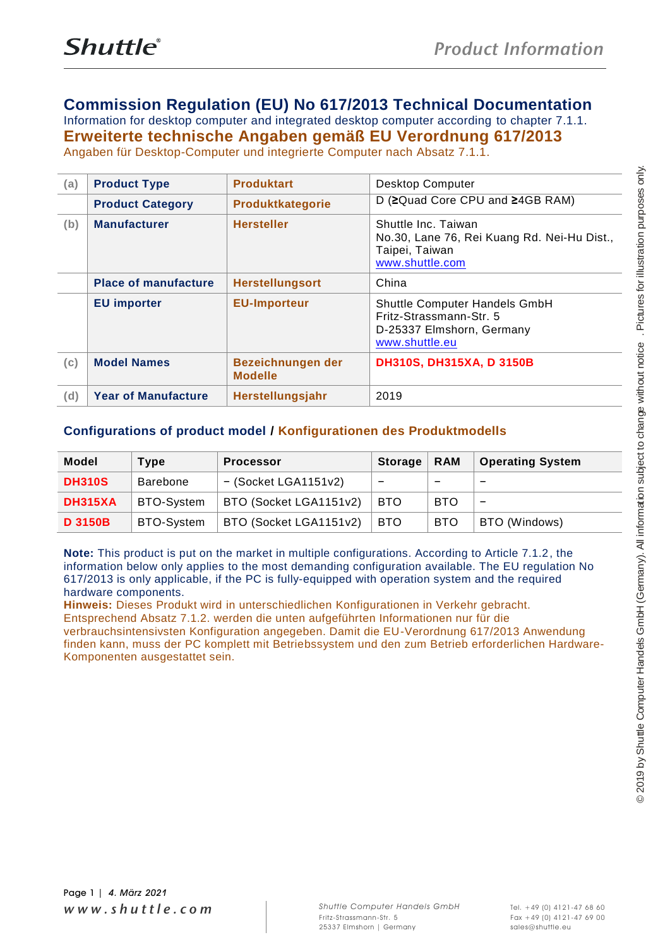## **Commission Regulation (EU) No 617/2013 Technical Documentation**

Information for desktop computer and integrated desktop computer according to chapter 7.1.1. **Erweiterte technische Angaben gemäß EU Verordnung 617/2013** Angaben für Desktop-Computer und integrierte Computer nach Absatz 7.1.1.

| (a)                | <b>Product Category</b>                                   | <b>Product Type</b>                                    | <b>Produktart</b>                                                                                                                                                                                                                                                                                                                                                                                                                                                                                                                                                                        |                                                                                                         |                          |                         |
|--------------------|-----------------------------------------------------------|--------------------------------------------------------|------------------------------------------------------------------------------------------------------------------------------------------------------------------------------------------------------------------------------------------------------------------------------------------------------------------------------------------------------------------------------------------------------------------------------------------------------------------------------------------------------------------------------------------------------------------------------------------|---------------------------------------------------------------------------------------------------------|--------------------------|-------------------------|
|                    |                                                           |                                                        | Produktkategorie                                                                                                                                                                                                                                                                                                                                                                                                                                                                                                                                                                         | Desktop Computer<br>D (≥Quad Core CPU and ≥4GB RAM)                                                     |                          |                         |
|                    | <b>Manufacturer</b><br>(b)<br><b>Place of manufacture</b> |                                                        | <b>Hersteller</b>                                                                                                                                                                                                                                                                                                                                                                                                                                                                                                                                                                        | Shuttle Inc. Taiwan<br>No.30, Lane 76, Rei Kuang Rd. Nei-Hu Dist.,<br>Taipei, Taiwan<br>www.shuttle.com |                          |                         |
|                    |                                                           |                                                        | <b>Herstellungsort</b>                                                                                                                                                                                                                                                                                                                                                                                                                                                                                                                                                                   | China                                                                                                   |                          |                         |
| <b>EU</b> importer |                                                           |                                                        | <b>EU-Importeur</b>                                                                                                                                                                                                                                                                                                                                                                                                                                                                                                                                                                      | Shuttle Computer Handels GmbH<br>Fritz-Strassmann-Str. 5<br>D-25337 Elmshorn, Germany<br>www.shuttle.eu |                          |                         |
| (c)                | <b>Model Names</b>                                        |                                                        | Bezeichnungen der<br><b>Modelle</b>                                                                                                                                                                                                                                                                                                                                                                                                                                                                                                                                                      | DH310S, DH315XA, D 3150B                                                                                |                          |                         |
| (d)                | <b>Year of Manufacture</b>                                |                                                        | Herstellungsjahr                                                                                                                                                                                                                                                                                                                                                                                                                                                                                                                                                                         | 2019                                                                                                    |                          |                         |
| <b>Model</b>       |                                                           | <b>Type</b>                                            | Configurations of product model / Konfigurationen des Produktmodells<br><b>Processor</b>                                                                                                                                                                                                                                                                                                                                                                                                                                                                                                 | <b>Storage</b>                                                                                          | <b>RAM</b>               | <b>Operating System</b> |
| <b>DH310S</b>      |                                                           | Barebone                                               | $-$ (Socket LGA1151v2)                                                                                                                                                                                                                                                                                                                                                                                                                                                                                                                                                                   | —                                                                                                       | $\overline{\phantom{m}}$ | $\qquad \qquad -$       |
| <b>DH315XA</b>     |                                                           | BTO-System                                             | BTO (Socket LGA1151v2)                                                                                                                                                                                                                                                                                                                                                                                                                                                                                                                                                                   | <b>BTO</b>                                                                                              | <b>BTO</b>               | $\qquad \qquad -$       |
| <b>D 3150B</b>     |                                                           | BTO-System                                             | BTO (Socket LGA1151v2)                                                                                                                                                                                                                                                                                                                                                                                                                                                                                                                                                                   | <b>BTO</b>                                                                                              | <b>BTO</b>               | BTO (Windows)           |
|                    |                                                           | hardware components.<br>Komponenten ausgestattet sein. | information below only applies to the most demanding configuration available. The EU regulation No<br>617/2013 is only applicable, if the PC is fully-equipped with operation system and the required<br>Hinweis: Dieses Produkt wird in unterschiedlichen Konfigurationen in Verkehr gebracht.<br>Entsprechend Absatz 7.1.2. werden die unten aufgeführten Informationen nur für die<br>verbrauchsintensivsten Konfiguration angegeben. Damit die EU-Verordnung 617/2013 Anwendung<br>finden kann, muss der PC komplett mit Betriebssystem und den zum Betrieb erforderlichen Hardware- |                                                                                                         |                          |                         |

### **Configurations of product model / Konfigurationen des Produktmodells**

| Model          | Type            | <b>Processor</b>       | <b>Storage</b> | <b>RAM</b> | <b>Operating System</b> |
|----------------|-----------------|------------------------|----------------|------------|-------------------------|
| <b>DH310S</b>  | <b>Barebone</b> | $-$ (Socket LGA1151v2) | -              |            |                         |
| <b>DH315XA</b> | BTO-System      | BTO (Socket LGA1151v2) | <b>BTO</b>     | <b>BTO</b> | -                       |
| <b>D 3150B</b> | BTO-System      | BTO (Socket LGA1151v2) | <b>BTO</b>     | <b>BTO</b> | BTO (Windows)           |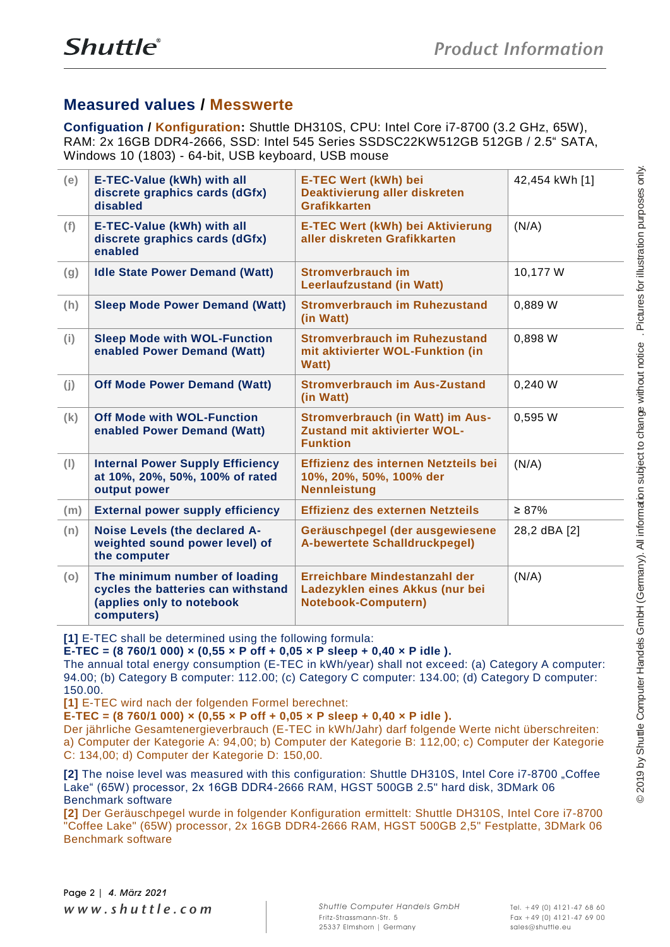# **Measured values / Messwerte**

**Configuation / Konfiguration:** Shuttle DH310S, CPU: Intel Core i7-8700 (3.2 GHz, 65W), RAM: 2x 16GB DDR4-2666, SSD: Intel 545 Series SSDSC22KW512GB 512GB / 2.5" SATA, Windows 10 (1803) - 64-bit, USB keyboard, USB mouse

| (e)                                                                            | E-TEC-Value (kWh) with all<br>discrete graphics cards (dGfx)<br>disabled                                                                                                                                                                                                                                                                                                                                               | E-TEC Wert (kWh) bei<br>Deaktivierung aller diskreten<br><b>Grafikkarten</b>                                                                                                                                                                                                                                                                                                                                       | 42,454 kWh [1] |  |
|--------------------------------------------------------------------------------|------------------------------------------------------------------------------------------------------------------------------------------------------------------------------------------------------------------------------------------------------------------------------------------------------------------------------------------------------------------------------------------------------------------------|--------------------------------------------------------------------------------------------------------------------------------------------------------------------------------------------------------------------------------------------------------------------------------------------------------------------------------------------------------------------------------------------------------------------|----------------|--|
| E-TEC-Value (kWh) with all<br>(f)<br>discrete graphics cards (dGfx)<br>enabled |                                                                                                                                                                                                                                                                                                                                                                                                                        | <b>E-TEC Wert (kWh) bei Aktivierung</b><br>aller diskreten Grafikkarten                                                                                                                                                                                                                                                                                                                                            | (N/A)          |  |
| (g)                                                                            | <b>Idle State Power Demand (Watt)</b>                                                                                                                                                                                                                                                                                                                                                                                  | <b>Stromverbrauch im</b><br><b>Leerlaufzustand (in Watt)</b>                                                                                                                                                                                                                                                                                                                                                       | 10,177 W       |  |
| (h)                                                                            | <b>Sleep Mode Power Demand (Watt)</b>                                                                                                                                                                                                                                                                                                                                                                                  | <b>Stromverbrauch im Ruhezustand</b><br>(in Watt)                                                                                                                                                                                                                                                                                                                                                                  | 0,889 W        |  |
| (i)                                                                            | <b>Sleep Mode with WOL-Function</b><br>enabled Power Demand (Watt)                                                                                                                                                                                                                                                                                                                                                     | <b>Stromverbrauch im Ruhezustand</b><br>mit aktivierter WOL-Funktion (in<br><b>Watt)</b>                                                                                                                                                                                                                                                                                                                           | 0,898 W        |  |
| (j)                                                                            | <b>Off Mode Power Demand (Watt)</b>                                                                                                                                                                                                                                                                                                                                                                                    | <b>Stromverbrauch im Aus-Zustand</b><br>(in Watt)                                                                                                                                                                                                                                                                                                                                                                  | 0,240 W        |  |
| (k)                                                                            | <b>Off Mode with WOL-Function</b><br>enabled Power Demand (Watt)                                                                                                                                                                                                                                                                                                                                                       | <b>Stromverbrauch (in Watt) im Aus-</b><br><b>Zustand mit aktivierter WOL-</b><br><b>Funktion</b>                                                                                                                                                                                                                                                                                                                  | 0,595 W        |  |
| (1)                                                                            | <b>Internal Power Supply Efficiency</b><br>at 10%, 20%, 50%, 100% of rated<br>output power                                                                                                                                                                                                                                                                                                                             | Effizienz des internen Netzteils bei<br>10%, 20%, 50%, 100% der<br><b>Nennleistung</b>                                                                                                                                                                                                                                                                                                                             | (N/A)          |  |
| (m)                                                                            | <b>External power supply efficiency</b>                                                                                                                                                                                                                                                                                                                                                                                | Effizienz des externen Netzteils                                                                                                                                                                                                                                                                                                                                                                                   | $\geq 87\%$    |  |
| (n)                                                                            | Noise Levels (the declared A-<br>weighted sound power level) of<br>the computer                                                                                                                                                                                                                                                                                                                                        | Geräuschpegel (der ausgewiesene<br><b>A-bewertete Schalldruckpegel)</b>                                                                                                                                                                                                                                                                                                                                            | 28,2 dBA [2]   |  |
| (o)                                                                            | The minimum number of loading<br>cycles the batteries can withstand<br>(applies only to notebook<br>computers)                                                                                                                                                                                                                                                                                                         | Erreichbare Mindestanzahl der<br>Ladezyklen eines Akkus (nur bei<br><b>Notebook-Computern)</b>                                                                                                                                                                                                                                                                                                                     | (N/A)          |  |
| 150.00.                                                                        | [1] E-TEC shall be determined using the following formula:<br>E-TEC = $(8760/1000) \times (0.55 \times P \text{ off } +0.05 \times P \text{ sleep } +0.40 \times P \text{ idle}).$<br>[1] E-TEC wird nach der folgenden Formel berechnet:<br>E-TEC = $(8760/1000) \times (0,55 \times P \text{ off } + 0,05 \times P \text{ sleep } + 0,40 \times P \text{ idle}).$<br>C: 134,00; d) Computer der Kategorie D: 150,00. | The annual total energy consumption (E-TEC in kWh/year) shall not exceed: (a) Category A computer:<br>94.00; (b) Category B computer: 112.00; (c) Category C computer: 134.00; (d) Category D computer:<br>Der jährliche Gesamtenergieverbrauch (E-TEC in kWh/Jahr) darf folgende Werte nicht überschreiten:<br>a) Computer der Kategorie A: 94,00; b) Computer der Kategorie B: 112,00; c) Computer der Kategorie |                |  |
|                                                                                | <b>Benchmark software</b><br><b>Benchmark software</b>                                                                                                                                                                                                                                                                                                                                                                 | [2] The noise level was measured with this configuration: Shuttle DH310S, Intel Core i7-8700 "Coffee<br>Lake" (65W) processor, 2x 16GB DDR4-2666 RAM, HGST 500GB 2.5" hard disk, 3DMark 06<br>[2] Der Geräuschpegel wurde in folgender Konfiguration ermittelt: Shuttle DH310S, Intel Core i7-8700<br>"Coffee Lake" (65W) processor, 2x 16GB DDR4-2666 RAM, HGST 500GB 2,5" Festplatte, 3DMark 06                  |                |  |
|                                                                                | Page 2   4. März 2021                                                                                                                                                                                                                                                                                                                                                                                                  |                                                                                                                                                                                                                                                                                                                                                                                                                    |                |  |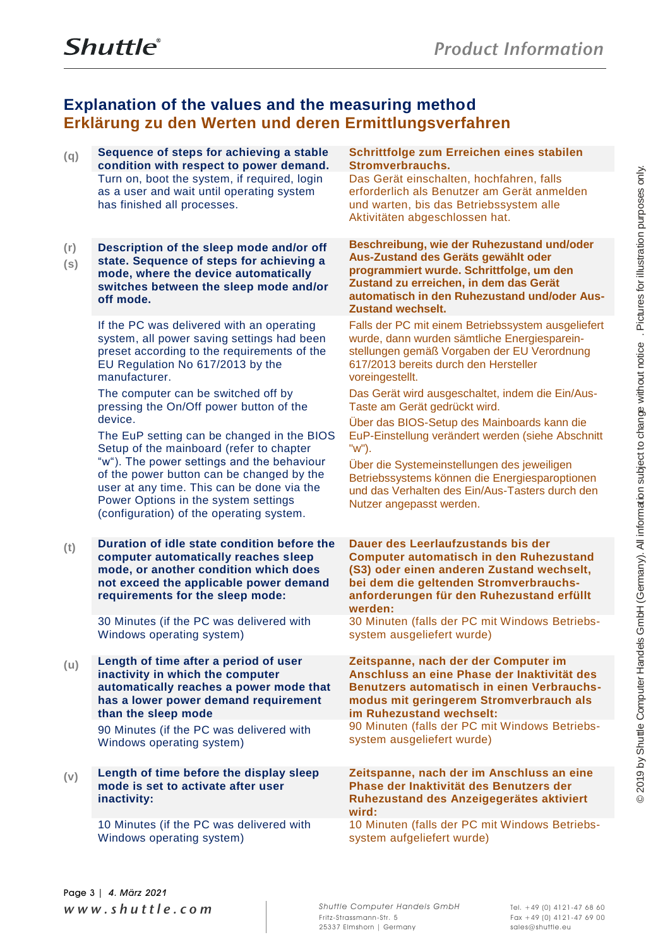# **Explanation of the values and the measuring method Erklärung zu den Werten und deren Ermittlungsverfahren**

|  | Sequence of steps for achieving a stable                                                                                                                                                                                                                                                                                       | Schrittfolge zum Erreichen eines stabilen                                                                                                                                                                                                                                                 |
|--|--------------------------------------------------------------------------------------------------------------------------------------------------------------------------------------------------------------------------------------------------------------------------------------------------------------------------------|-------------------------------------------------------------------------------------------------------------------------------------------------------------------------------------------------------------------------------------------------------------------------------------------|
|  | condition with respect to power demand.<br>Turn on, boot the system, if required, login<br>as a user and wait until operating system<br>has finished all processes.                                                                                                                                                            | <b>Stromverbrauchs.</b><br>Das Gerät einschalten, hochfahren, falls<br>erforderlich als Benutzer am Gerät anmelden<br>und warten, bis das Betriebssystem alle<br>Aktivitäten abgeschlossen hat.                                                                                           |
|  | Description of the sleep mode and/or off<br>state. Sequence of steps for achieving a<br>mode, where the device automatically<br>switches between the sleep mode and/or<br>off mode.                                                                                                                                            | Beschreibung, wie der Ruhezustand und/oder<br>Aus-Zustand des Geräts gewählt oder<br>programmiert wurde. Schrittfolge, um den<br>Zustand zu erreichen, in dem das Gerät<br>automatisch in den Ruhezustand und/oder Aus-<br><b>Zustand wechselt.</b>                                       |
|  | If the PC was delivered with an operating<br>system, all power saving settings had been<br>preset according to the requirements of the<br>EU Regulation No 617/2013 by the<br>manufacturer.                                                                                                                                    | Falls der PC mit einem Betriebssystem ausgeliefert<br>wurde, dann wurden sämtliche Energiesparein-<br>stellungen gemäß Vorgaben der EU Verordnung<br>617/2013 bereits durch den Hersteller<br>voreingestellt.                                                                             |
|  | The computer can be switched off by<br>pressing the On/Off power button of the                                                                                                                                                                                                                                                 | Das Gerät wird ausgeschaltet, indem die Ein/Aus-<br>Taste am Gerät gedrückt wird.                                                                                                                                                                                                         |
|  | device.<br>The EuP setting can be changed in the BIOS<br>Setup of the mainboard (refer to chapter<br>"w"). The power settings and the behaviour<br>of the power button can be changed by the<br>user at any time. This can be done via the<br>Power Options in the system settings<br>(configuration) of the operating system. | Über das BIOS-Setup des Mainboards kann die<br>EuP-Einstellung verändert werden (siehe Abschnitt<br>"w").<br>Über die Systemeinstellungen des jeweiligen<br>Betriebssystems können die Energiesparoptionen<br>und das Verhalten des Ein/Aus-Tasters durch den<br>Nutzer angepasst werden. |
|  | Duration of idle state condition before the<br>computer automatically reaches sleep<br>mode, or another condition which does<br>not exceed the applicable power demand<br>requirements for the sleep mode:                                                                                                                     | Dauer des Leerlaufzustands bis der<br><b>Computer automatisch in den Ruhezustand</b><br>(S3) oder einen anderen Zustand wechselt,<br>bei dem die geltenden Stromverbrauchs-<br>anforderungen für den Ruhezustand erfüllt<br>werden:                                                       |
|  | 30 Minutes (if the PC was delivered with<br>Windows operating system)                                                                                                                                                                                                                                                          | 30 Minuten (falls der PC mit Windows Betriebs-<br>system ausgeliefert wurde)                                                                                                                                                                                                              |
|  | Length of time after a period of user<br>inactivity in which the computer<br>automatically reaches a power mode that<br>has a lower power demand requirement<br>than the sleep mode                                                                                                                                            | Zeitspanne, nach der der Computer im<br>Anschluss an eine Phase der Inaktivität des<br>Benutzers automatisch in einen Verbrauchs-<br>modus mit geringerem Stromverbrauch als<br>im Ruhezustand wechselt:                                                                                  |
|  | 90 Minutes (if the PC was delivered with<br>Windows operating system)                                                                                                                                                                                                                                                          | 90 Minuten (falls der PC mit Windows Betriebs-<br>system ausgeliefert wurde)                                                                                                                                                                                                              |
|  | Length of time before the display sleep<br>mode is set to activate after user<br>inactivity:                                                                                                                                                                                                                                   | Zeitspanne, nach der im Anschluss an eine<br>Phase der Inaktivität des Benutzers der<br>Ruhezustand des Anzeigegerätes aktiviert<br>wird:                                                                                                                                                 |
|  | 10 Minutes (if the PC was delivered with<br>Windows operating system)                                                                                                                                                                                                                                                          | 10 Minuten (falls der PC mit Windows Betriebs-<br>system aufgeliefert wurde)                                                                                                                                                                                                              |